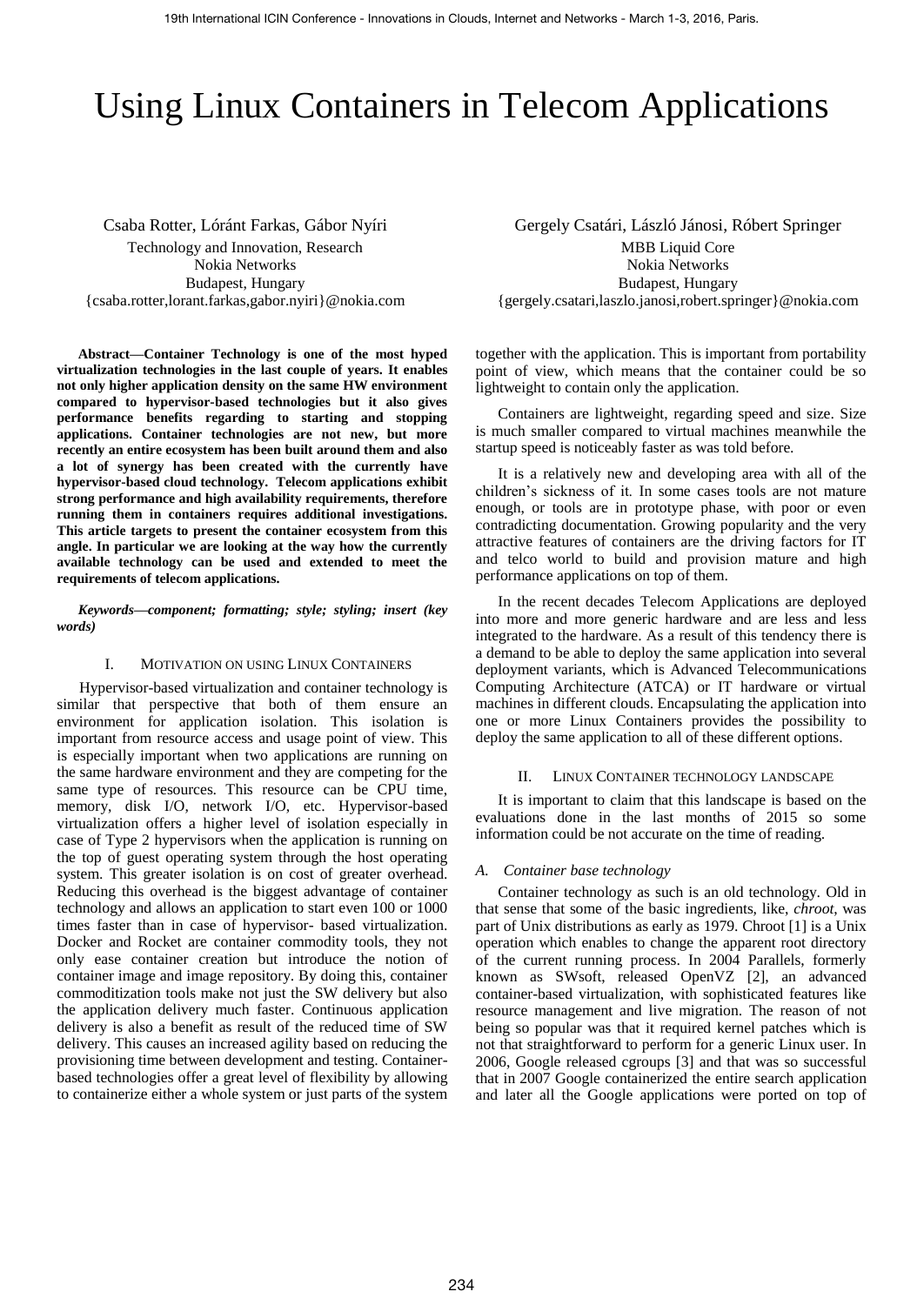# Using Linux Containers in Telecom Applications

Csaba Rotter, Lóránt Farkas, Gábor Nyíri Technology and Innovation, Research Nokia Networks Budapest, Hungary {csaba.rotter,lorant.farkas,gabor.nyiri}@nokia.com

**Abstract—Container Technology is one of the most hyped virtualization technologies in the last couple of years. It enables not only higher application density on the same HW environment compared to hypervisor-based technologies but it also gives performance benefits regarding to starting and stopping applications. Container technologies are not new, but more recently an entire ecosystem has been built around them and also a lot of synergy has been created with the currently have hypervisor-based cloud technology. Telecom applications exhibit strong performance and high availability requirements, therefore running them in containers requires additional investigations. This article targets to present the container ecosystem from this angle. In particular we are looking at the way how the currently available technology can be used and extended to meet the requirements of telecom applications.** 

*Keywords—component; formatting; style; styling; insert (key words)* 

#### I. MOTIVATION ON USING LINUX CONTAINERS

Hypervisor-based virtualization and container technology is similar that perspective that both of them ensure an environment for application isolation. This isolation is important from resource access and usage point of view. This is especially important when two applications are running on the same hardware environment and they are competing for the same type of resources. This resource can be CPU time, memory, disk I/O, network I/O, etc. Hypervisor-based virtualization offers a higher level of isolation especially in case of Type 2 hypervisors when the application is running on the top of guest operating system through the host operating system. This greater isolation is on cost of greater overhead. Reducing this overhead is the biggest advantage of container technology and allows an application to start even 100 or 1000 times faster than in case of hypervisor- based virtualization. Docker and Rocket are container commodity tools, they not only ease container creation but introduce the notion of container image and image repository. By doing this, container commoditization tools make not just the SW delivery but also the application delivery much faster. Continuous application delivery is also a benefit as result of the reduced time of SW delivery. This causes an increased agility based on reducing the provisioning time between development and testing. Containerbased technologies offer a great level of flexibility by allowing to containerize either a whole system or just parts of the system

Gergely Csatári, László Jánosi, Róbert Springer MBB Liquid Core Nokia Networks Budapest, Hungary {gergely.csatari,laszlo.janosi,robert.springer}@nokia.com

together with the application. This is important from portability point of view, which means that the container could be so lightweight to contain only the application.

Containers are lightweight, regarding speed and size. Size is much smaller compared to virtual machines meanwhile the startup speed is noticeably faster as was told before.

It is a relatively new and developing area with all of the children's sickness of it. In some cases tools are not mature enough, or tools are in prototype phase, with poor or even contradicting documentation. Growing popularity and the very attractive features of containers are the driving factors for IT and telco world to build and provision mature and high performance applications on top of them.

In the recent decades Telecom Applications are deployed into more and more generic hardware and are less and less integrated to the hardware. As a result of this tendency there is a demand to be able to deploy the same application into several deployment variants, which is Advanced Telecommunications Computing Architecture (ATCA) or IT hardware or virtual machines in different clouds. Encapsulating the application into one or more Linux Containers provides the possibility to deploy the same application to all of these different options.

#### II. LINUX CONTAINER TECHNOLOGY LANDSCAPE

It is important to claim that this landscape is based on the evaluations done in the last months of 2015 so some information could be not accurate on the time of reading.

#### *A. Container base technology*

Container technology as such is an old technology. Old in that sense that some of the basic ingredients, like, *chroot*, was part of Unix distributions as early as 1979. Chroo[t \[1\]](#page-7-0) is a Unix operation which enables to change the apparent root directory of the current running process. In 2004 Parallels, formerly known as SWsoft, released OpenVZ [\[2\],](#page-7-1) an advanced container-based virtualization, with sophisticated features like resource management and live migration. The reason of not being so popular was that it required kernel patches which is not that straightforward to perform for a generic Linux user. In 2006, Google released cgroups [\[3\]](#page-7-2) and that was so successful that in 2007 Google containerized the entire search application and later all the Google applications were ported on top of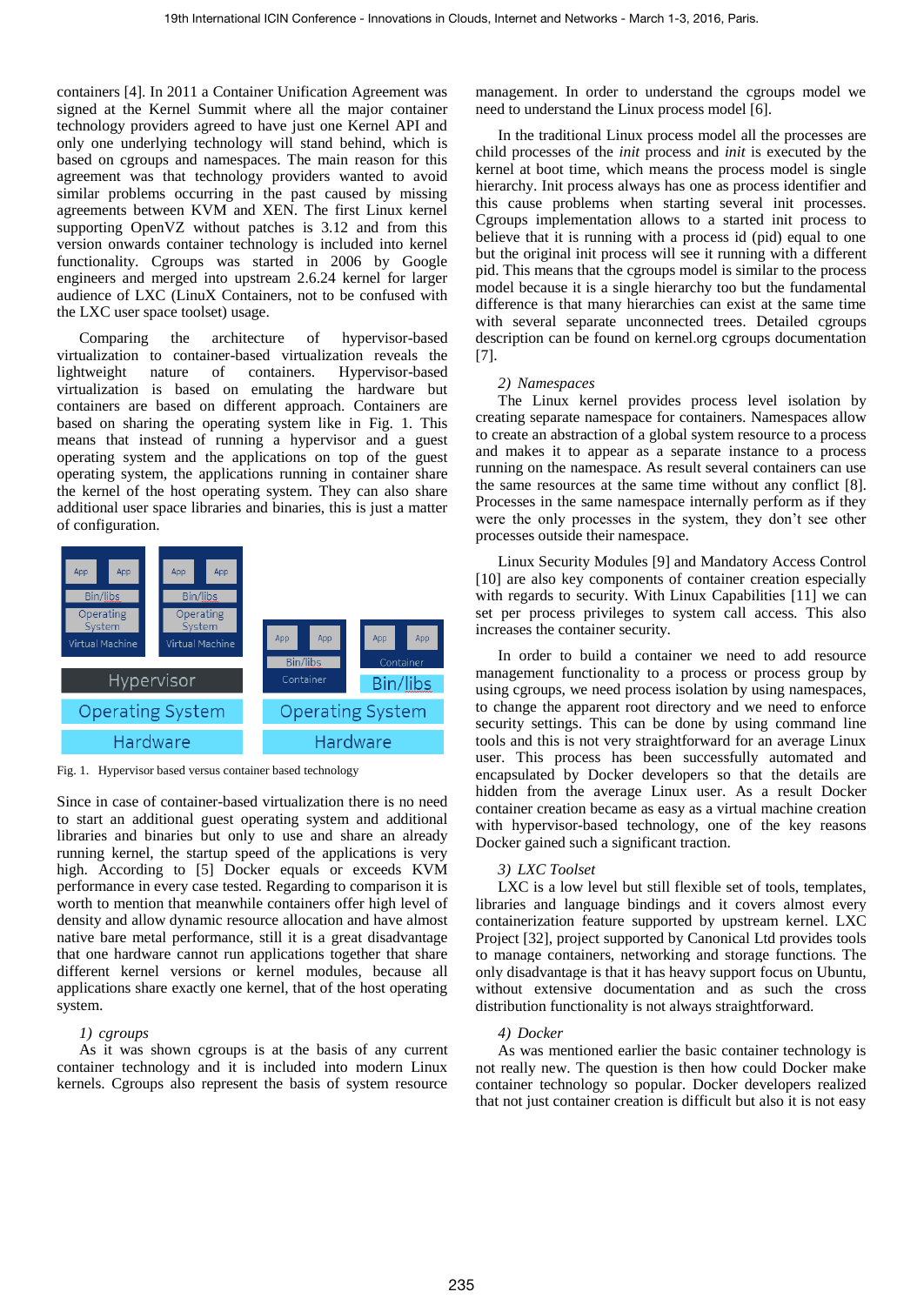containers [\[4\].](#page-7-3) In 2011 a Container Unification Agreement was signed at the Kernel Summit where all the major container technology providers agreed to have just one Kernel API and only one underlying technology will stand behind, which is based on cgroups and namespaces. The main reason for this agreement was that technology providers wanted to avoid similar problems occurring in the past caused by missing agreements between KVM and XEN. The first Linux kernel supporting OpenVZ without patches is 3.12 and from this version onwards container technology is included into kernel functionality. Cgroups was started in 2006 by Google engineers and merged into upstream 2.6.24 kernel for larger audience of LXC (LinuX Containers, not to be confused with the LXC user space toolset) usage.

Comparing the architecture of hypervisor-based virtualization to container-based virtualization reveals the lightweight nature of containers. Hypervisor-based virtualization is based on emulating the hardware but containers are based on different approach. Containers are based on sharing the operating system like in [Fig. 1.](#page-1-0) This means that instead of running a hypervisor and a guest operating system and the applications on top of the guest operating system, the applications running in container share the kernel of the host operating system. They can also share additional user space libraries and binaries, this is just a matter of configuration.



<span id="page-1-0"></span>Fig. 1. Hypervisor based versus container based technology

Since in case of container-based virtualization there is no need to start an additional guest operating system and additional libraries and binaries but only to use and share an already running kernel, the startup speed of the applications is very high. According to [\[5\]](#page-7-4) Docker equals or exceeds KVM performance in every case tested. Regarding to comparison it is worth to mention that meanwhile containers offer high level of density and allow dynamic resource allocation and have almost native bare metal performance, still it is a great disadvantage that one hardware cannot run applications together that share different kernel versions or kernel modules, because all applications share exactly one kernel, that of the host operating system.

#### *1) cgroups*

As it was shown cgroups is at the basis of any current container technology and it is included into modern Linux kernels. Cgroups also represent the basis of system resource

management. In order to understand the cgroups model we need to understand the Linux process mode[l \[6\].](#page-7-5)

In the traditional Linux process model all the processes are child processes of the *init* process and *init* is executed by the kernel at boot time, which means the process model is single hierarchy. Init process always has one as process identifier and this cause problems when starting several init processes. Cgroups implementation allows to a started init process to believe that it is running with a process id (pid) equal to one but the original init process will see it running with a different pid. This means that the cgroups model is similar to the process model because it is a single hierarchy too but the fundamental difference is that many hierarchies can exist at the same time with several separate unconnected trees. Detailed cgroups description can be found on kernel.org cgroups documentation [\[7\].](#page-7-6)

## *2) Namespaces*

The Linux kernel provides process level isolation by creating separate namespace for containers. Namespaces allow to create an abstraction of a global system resource to a process and makes it to appear as a separate instance to a process running on the namespace. As result several containers can use the same resources at the same time without any conflict [\[8\].](#page-7-7) Processes in the same namespace internally perform as if they were the only processes in the system, they don't see other processes outside their namespace.

Linux Security Modules [\[9\]](#page-7-8) and Mandatory Access Control [\[10\]](#page-7-9) are also key components of container creation especially with regards to security. With Linux Capabilities [\[11\]](#page-7-10) we can set per process privileges to system call access. This also increases the container security.

In order to build a container we need to add resource management functionality to a process or process group by using cgroups, we need process isolation by using namespaces, to change the apparent root directory and we need to enforce security settings. This can be done by using command line tools and this is not very straightforward for an average Linux user. This process has been successfully automated and encapsulated by Docker developers so that the details are hidden from the average Linux user. As a result Docker container creation became as easy as a virtual machine creation with hypervisor-based technology, one of the key reasons Docker gained such a significant traction.

#### *3) LXC Toolset*

LXC is a low level but still flexible set of tools, templates, libraries and language bindings and it covers almost every containerization feature supported by upstream kernel. LXC Project [\[32\],](#page-7-11) project supported by Canonical Ltd provides tools to manage containers, networking and storage functions. The only disadvantage is that it has heavy support focus on Ubuntu, without extensive documentation and as such the cross distribution functionality is not always straightforward.

# *4) Docker*

As was mentioned earlier the basic container technology is not really new. The question is then how could Docker make container technology so popular. Docker developers realized that not just container creation is difficult but also it is not easy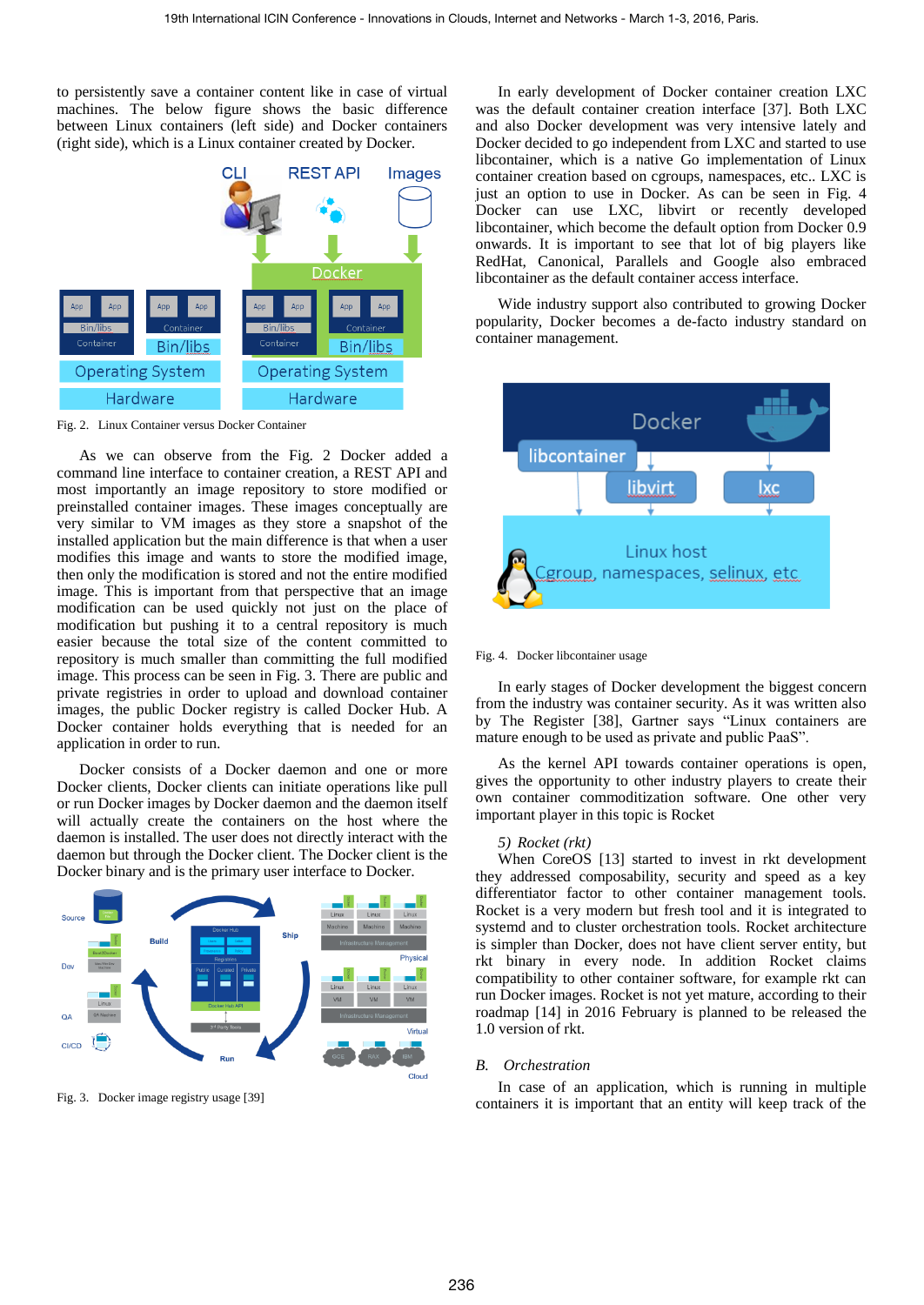to persistently save a container content like in case of virtual machines. The below figure shows the basic difference between Linux containers (left side) and Docker containers (right side), which is a Linux container created by Docker.



<span id="page-2-0"></span>Fig. 2. Linux Container versus Docker Container

As we can observe from the [Fig. 2](#page-2-0) Docker added a command line interface to container creation, a REST API and most importantly an image repository to store modified or preinstalled container images. These images conceptually are very similar to VM images as they store a snapshot of the installed application but the main difference is that when a user modifies this image and wants to store the modified image, then only the modification is stored and not the entire modified image. This is important from that perspective that an image modification can be used quickly not just on the place of modification but pushing it to a central repository is much easier because the total size of the content committed to repository is much smaller than committing the full modified image. This process can be seen in [Fig. 3.](#page-2-1) There are public and private registries in order to upload and download container images, the public Docker registry is called Docker Hub. A Docker container holds everything that is needed for an application in order to run.

Docker consists of a Docker daemon and one or more Docker clients, Docker clients can initiate operations like pull or run Docker images by Docker daemon and the daemon itself will actually create the containers on the host where the daemon is installed. The user does not directly interact with the daemon but through the Docker client. The Docker client is the Docker binary and is the primary user interface to Docker.



<span id="page-2-1"></span>Fig. 3. Docker image registry usag[e \[39\]](#page-7-12) 

In early development of Docker container creation LXC was the default container creation interface [\[37\].](#page-7-13) Both LXC and also Docker development was very intensive lately and Docker decided to go independent from LXC and started to use libcontainer, which is a native Go implementation of Linux container creation based on cgroups, namespaces, etc.. LXC is just an option to use in Docker. As can be seen in [Fig. 4](#page-2-2) Docker can use LXC, libvirt or recently developed libcontainer, which become the default option from Docker 0.9 onwards. It is important to see that lot of big players like RedHat, Canonical, Parallels and Google also embraced libcontainer as the default container access interface.

Wide industry support also contributed to growing Docker popularity, Docker becomes a de-facto industry standard on container management.



<span id="page-2-2"></span>Fig. 4. Docker libcontainer usage

In early stages of Docker development the biggest concern from the industry was container security. As it was written also by The Register [\[38\],](#page-7-14) Gartner says "Linux containers are mature enough to be used as private and public PaaS".

As the kernel API towards container operations is open, gives the opportunity to other industry players to create their own container commoditization software. One other very important player in this topic is Rocket

#### *5) Rocket (rkt)*

When CoreOS [\[13\]](#page-7-15) started to invest in rkt development they addressed composability, security and speed as a key differentiator factor to other container management tools. Rocket is a very modern but fresh tool and it is integrated to systemd and to cluster orchestration tools. Rocket architecture is simpler than Docker, does not have client server entity, but rkt binary in every node. In addition Rocket claims compatibility to other container software, for example rkt can run Docker images. Rocket is not yet mature, according to their roadmap [\[14\]](#page-7-16) in 2016 February is planned to be released the 1.0 version of rkt.

#### *B. Orchestration*

In case of an application, which is running in multiple containers it is important that an entity will keep track of the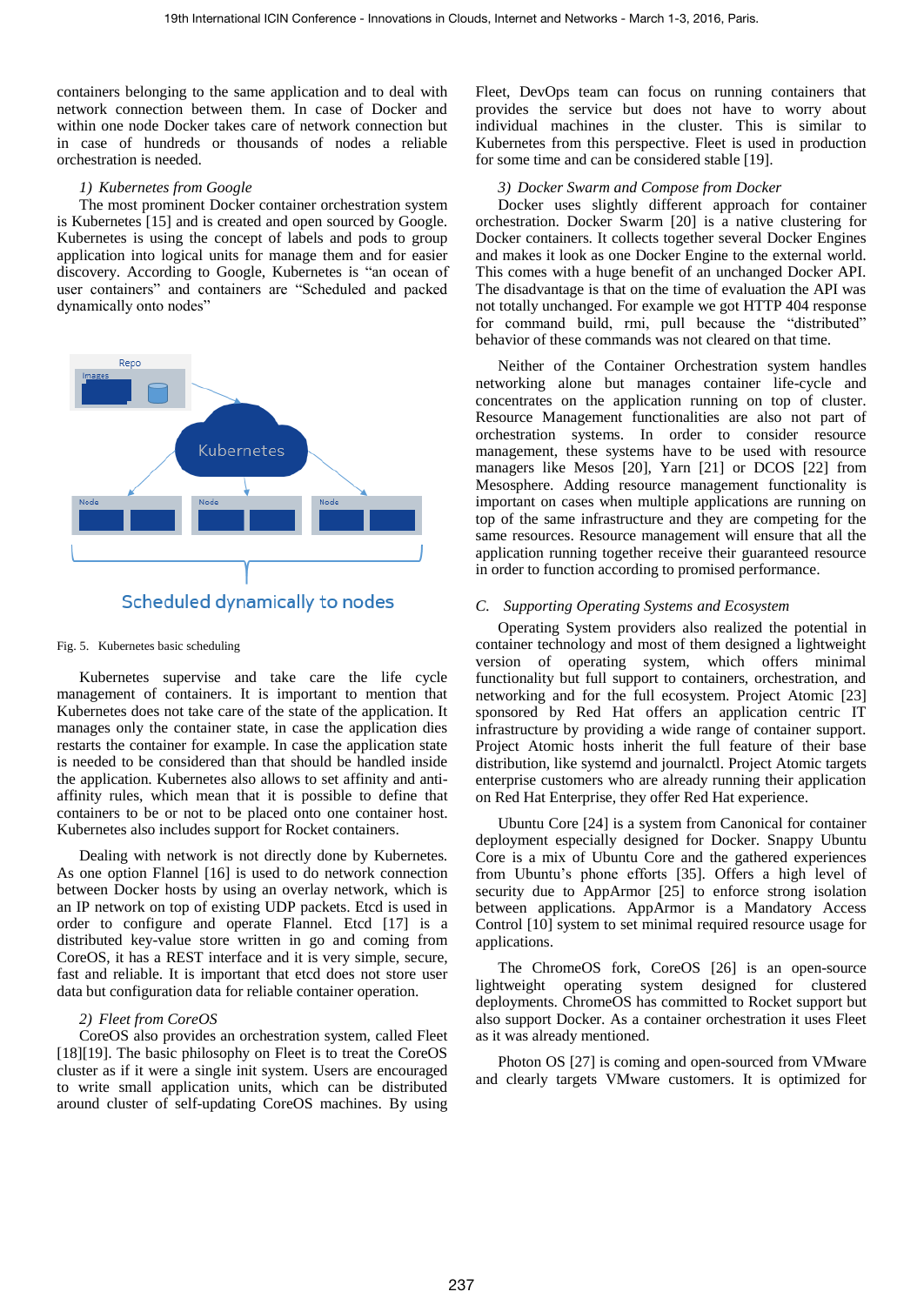containers belonging to the same application and to deal with network connection between them. In case of Docker and within one node Docker takes care of network connection but in case of hundreds or thousands of nodes a reliable orchestration is needed.

#### *1) Kubernetes from Google*

The most prominent Docker container orchestration system is Kubernetes [\[15\]](#page-7-17) and is created and open sourced by Google. Kubernetes is using the concept of labels and pods to group application into logical units for manage them and for easier discovery. According to Google, Kubernetes is "an ocean of user containers" and containers are "Scheduled and packed dynamically onto nodes"





#### Fig. 5. Kubernetes basic scheduling

Kubernetes supervise and take care the life cycle management of containers. It is important to mention that Kubernetes does not take care of the state of the application. It manages only the container state, in case the application dies restarts the container for example. In case the application state is needed to be considered than that should be handled inside the application. Kubernetes also allows to set affinity and antiaffinity rules, which mean that it is possible to define that containers to be or not to be placed onto one container host. Kubernetes also includes support for Rocket containers.

Dealing with network is not directly done by Kubernetes. As one option Flannel [\[16\]](#page-7-18) is used to do network connection between Docker hosts by using an overlay network, which is an IP network on top of existing UDP packets. Etcd is used in order to configure and operate Flannel. Etcd [\[17\]](#page-7-19) is a distributed key-value store written in go and coming from CoreOS, it has a REST interface and it is very simple, secure, fast and reliable. It is important that etcd does not store user data but configuration data for reliable container operation.

#### *2) Fleet from CoreOS*

CoreOS also provides an orchestration system, called Fleet [\[18\]\[19\].](#page-7-20) The basic philosophy on Fleet is to treat the CoreOS cluster as if it were a single init system. Users are encouraged to write small application units, which can be distributed around cluster of self-updating CoreOS machines. By using

Fleet, DevOps team can focus on running containers that provides the service but does not have to worry about individual machines in the cluster. This is similar to Kubernetes from this perspective. Fleet is used in production for some time and can be considered stabl[e \[19\].](#page-7-21)

# *3) Docker Swarm and Compose from Docker*

Docker uses slightly different approach for container orchestration. Docker Swarm [\[20\]](#page-7-22) is a native clustering for Docker containers. It collects together several Docker Engines and makes it look as one Docker Engine to the external world. This comes with a huge benefit of an unchanged Docker API. The disadvantage is that on the time of evaluation the API was not totally unchanged. For example we got HTTP 404 response for command build, rmi, pull because the "distributed" behavior of these commands was not cleared on that time.

Neither of the Container Orchestration system handles networking alone but manages container life-cycle and concentrates on the application running on top of cluster. Resource Management functionalities are also not part of orchestration systems. In order to consider resource management, these systems have to be used with resource managers like Mesos [\[20\],](#page-7-22) Yarn [\[21\]](#page-7-23) or DCOS [\[22\]](#page-7-24) from Mesosphere. Adding resource management functionality is important on cases when multiple applications are running on top of the same infrastructure and they are competing for the same resources. Resource management will ensure that all the application running together receive their guaranteed resource in order to function according to promised performance.

## *C. Supporting Operating Systems and Ecosystem*

Operating System providers also realized the potential in container technology and most of them designed a lightweight version of operating system, which offers minimal functionality but full support to containers, orchestration, and networking and for the full ecosystem. Project Atomic [\[23\]](#page-7-25) sponsored by Red Hat offers an application centric IT infrastructure by providing a wide range of container support. Project Atomic hosts inherit the full feature of their base distribution, like systemd and journalctl. Project Atomic targets enterprise customers who are already running their application on Red Hat Enterprise, they offer Red Hat experience.

Ubuntu Core [\[24\]](#page-7-26) is a system from Canonical for container deployment especially designed for Docker. Snappy Ubuntu Core is a mix of Ubuntu Core and the gathered experiences from Ubuntu's phone efforts [\[35\].](#page-7-27) Offers a high level of security due to AppArmor [\[25\]](#page-7-28) to enforce strong isolation between applications. AppArmor is a Mandatory Access Control [\[10\]](#page-7-9) system to set minimal required resource usage for applications.

The ChromeOS fork, CoreOS [\[26\]](#page-7-29) is an open-source lightweight operating system designed for clustered deployments. ChromeOS has committed to Rocket support but also support Docker. As a container orchestration it uses Fleet as it was already mentioned.

Photon OS [\[27\]](#page-7-30) is coming and open-sourced from VMware and clearly targets VMware customers. It is optimized for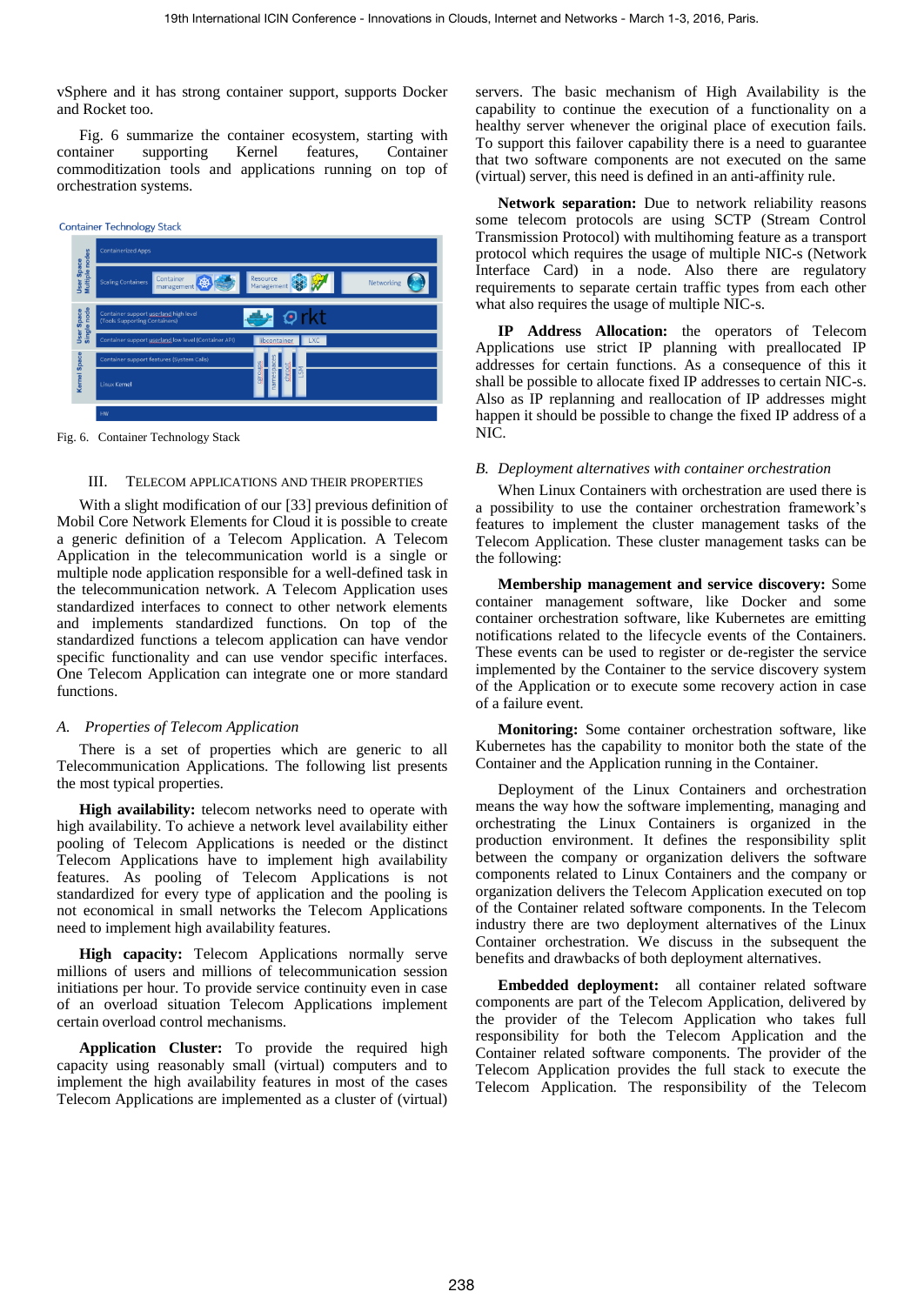vSphere and it has strong container support, supports Docker and Rocket too.

[Fig. 6](#page-4-0) summarize the container ecosystem, starting with container supporting Kernel features, Container commoditization tools and applications running on top of orchestration systems.



<span id="page-4-1"></span><span id="page-4-0"></span>Fig. 6. Container Technology Stack

#### III. TELECOM APPLICATIONS AND THEIR PROPERTIES

With a slight modification of our [\[33\]](#page-7-31) previous definition of Mobil Core Network Elements for Cloud it is possible to create a generic definition of a Telecom Application. A Telecom Application in the telecommunication world is a single or multiple node application responsible for a well-defined task in the telecommunication network. A Telecom Application uses standardized interfaces to connect to other network elements and implements standardized functions. On top of the standardized functions a telecom application can have vendor specific functionality and can use vendor specific interfaces. One Telecom Application can integrate one or more standard functions.

# *A. Properties of Telecom Application*

There is a set of properties which are generic to all Telecommunication Applications. The following list presents the most typical properties.

**High availability:** telecom networks need to operate with high availability. To achieve a network level availability either pooling of Telecom Applications is needed or the distinct Telecom Applications have to implement high availability features. As pooling of Telecom Applications is not standardized for every type of application and the pooling is not economical in small networks the Telecom Applications need to implement high availability features.

**High capacity:** Telecom Applications normally serve millions of users and millions of telecommunication session initiations per hour. To provide service continuity even in case of an overload situation Telecom Applications implement certain overload control mechanisms.

**Application Cluster:** To provide the required high capacity using reasonably small (virtual) computers and to implement the high availability features in most of the cases Telecom Applications are implemented as a cluster of (virtual) servers. The basic mechanism of High Availability is the capability to continue the execution of a functionality on a healthy server whenever the original place of execution fails. To support this failover capability there is a need to guarantee that two software components are not executed on the same (virtual) server, this need is defined in an anti-affinity rule.

**Network separation:** Due to network reliability reasons some telecom protocols are using SCTP (Stream Control Transmission Protocol) with multihoming feature as a transport protocol which requires the usage of multiple NIC-s (Network Interface Card) in a node. Also there are regulatory requirements to separate certain traffic types from each other what also requires the usage of multiple NIC-s.

**IP Address Allocation:** the operators of Telecom Applications use strict IP planning with preallocated IP addresses for certain functions. As a consequence of this it shall be possible to allocate fixed IP addresses to certain NIC-s. Also as IP replanning and reallocation of IP addresses might happen it should be possible to change the fixed IP address of a NIC.

# <span id="page-4-2"></span>*B. Deployment alternatives with container orchestration*

When Linux Containers with orchestration are used there is a possibility to use the container orchestration framework's features to implement the cluster management tasks of the Telecom Application. These cluster management tasks can be the following:

**Membership management and service discovery:** Some container management software, like Docker and some container orchestration software, like Kubernetes are emitting notifications related to the lifecycle events of the Containers. These events can be used to register or de-register the service implemented by the Container to the service discovery system of the Application or to execute some recovery action in case of a failure event.

**Monitoring:** Some container orchestration software, like Kubernetes has the capability to monitor both the state of the Container and the Application running in the Container.

Deployment of the Linux Containers and orchestration means the way how the software implementing, managing and orchestrating the Linux Containers is organized in the production environment. It defines the responsibility split between the company or organization delivers the software components related to Linux Containers and the company or organization delivers the Telecom Application executed on top of the Container related software components. In the Telecom industry there are two deployment alternatives of the Linux Container orchestration. We discuss in the subsequent the benefits and drawbacks of both deployment alternatives.

**Embedded deployment:** all container related software components are part of the Telecom Application, delivered by the provider of the Telecom Application who takes full responsibility for both the Telecom Application and the Container related software components. The provider of the Telecom Application provides the full stack to execute the Telecom Application. The responsibility of the Telecom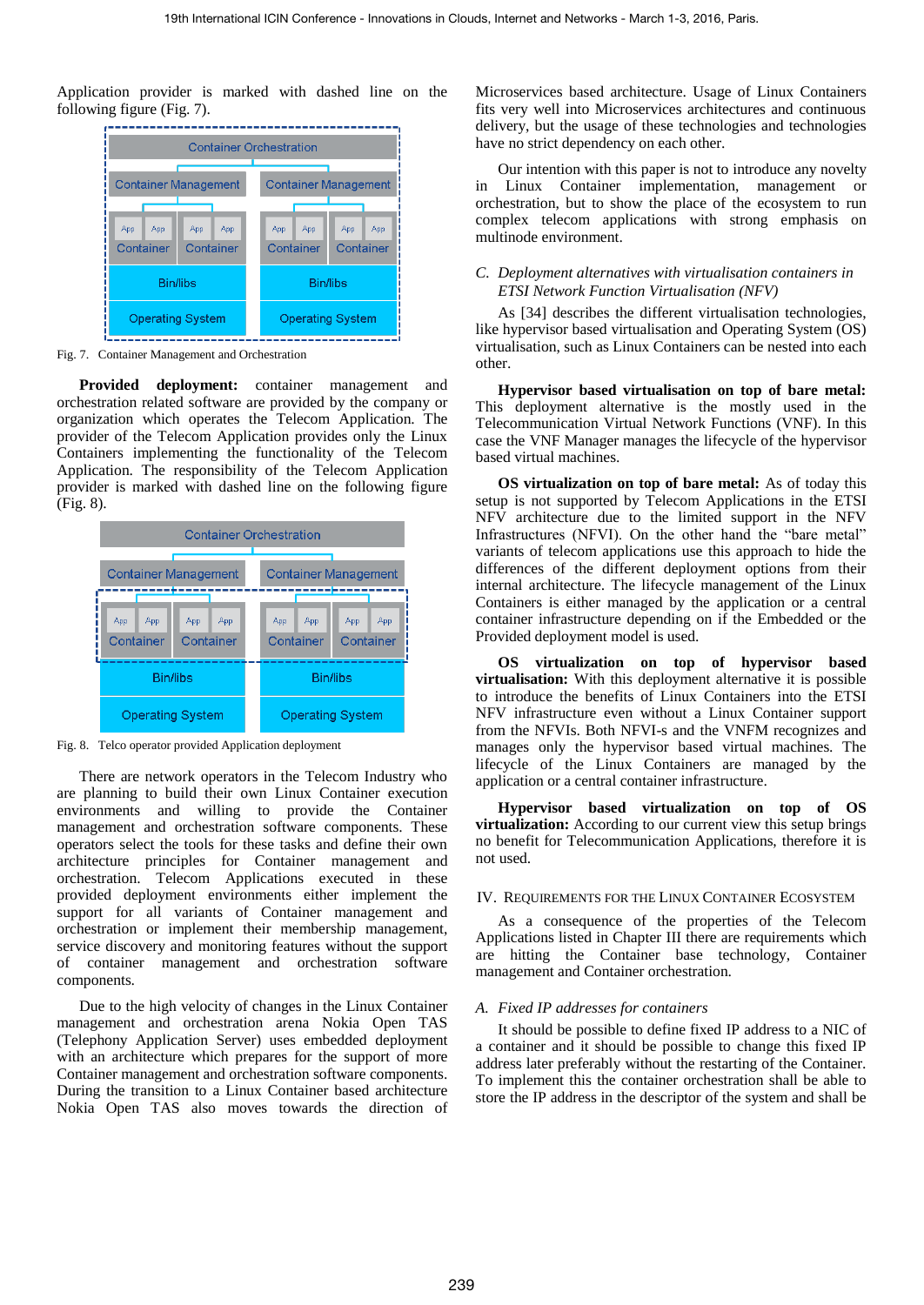Application provider is marked with dashed line on the following figure [\(Fig. 7\)](#page-5-0).



<span id="page-5-0"></span>Fig. 7. Container Management and Orchestration

**Provided deployment:** container management and orchestration related software are provided by the company or organization which operates the Telecom Application. The provider of the Telecom Application provides only the Linux Containers implementing the functionality of the Telecom Application. The responsibility of the Telecom Application provider is marked with dashed line on the following figure [\(Fig. 8\)](#page-5-1).



<span id="page-5-1"></span>Fig. 8. Telco operator provided Application deployment

There are network operators in the Telecom Industry who are planning to build their own Linux Container execution environments and willing to provide the Container management and orchestration software components. These operators select the tools for these tasks and define their own architecture principles for Container management and orchestration. Telecom Applications executed in these provided deployment environments either implement the support for all variants of Container management and orchestration or implement their membership management, service discovery and monitoring features without the support of container management and orchestration software components.

Due to the high velocity of changes in the Linux Container management and orchestration arena Nokia Open TAS (Telephony Application Server) uses embedded deployment with an architecture which prepares for the support of more Container management and orchestration software components. During the transition to a Linux Container based architecture Nokia Open TAS also moves towards the direction of Microservices based architecture. Usage of Linux Containers fits very well into Microservices architectures and continuous delivery, but the usage of these technologies and technologies have no strict dependency on each other.

Our intention with this paper is not to introduce any novelty in Linux Container implementation, management or orchestration, but to show the place of the ecosystem to run complex telecom applications with strong emphasis on multinode environment.

# *C. Deployment alternatives with virtualisation containers in ETSI Network Function Virtualisation (NFV)*

As [\[34\]](#page-7-32) describes the different virtualisation technologies, like hypervisor based virtualisation and Operating System (OS) virtualisation, such as Linux Containers can be nested into each other.

**Hypervisor based virtualisation on top of bare metal:**  This deployment alternative is the mostly used in the Telecommunication Virtual Network Functions (VNF). In this case the VNF Manager manages the lifecycle of the hypervisor based virtual machines.

**OS virtualization on top of bare metal:** As of today this setup is not supported by Telecom Applications in the ETSI NFV architecture due to the limited support in the NFV Infrastructures (NFVI). On the other hand the "bare metal" variants of telecom applications use this approach to hide the differences of the different deployment options from their internal architecture. The lifecycle management of the Linux Containers is either managed by the application or a central container infrastructure depending on if the Embedded or the Provided deployment model is used.

**OS virtualization on top of hypervisor based virtualisation:** With this deployment alternative it is possible to introduce the benefits of Linux Containers into the ETSI NFV infrastructure even without a Linux Container support from the NFVIs. Both NFVI-s and the VNFM recognizes and manages only the hypervisor based virtual machines. The lifecycle of the Linux Containers are managed by the application or a central container infrastructure.

**Hypervisor based virtualization on top of OS virtualization:** According to our current view this setup brings no benefit for Telecommunication Applications, therefore it is not used.

#### IV. REQUIREMENTS FOR THE LINUX CONTAINER ECOSYSTEM

As a consequence of the properties of the Telecom Applications listed in Chapter [III](#page-4-1) there are requirements which are hitting the Container base technology, Container management and Container orchestration.

# *A. Fixed IP addresses for containers*

It should be possible to define fixed IP address to a NIC of a container and it should be possible to change this fixed IP address later preferably without the restarting of the Container. To implement this the container orchestration shall be able to store the IP address in the descriptor of the system and shall be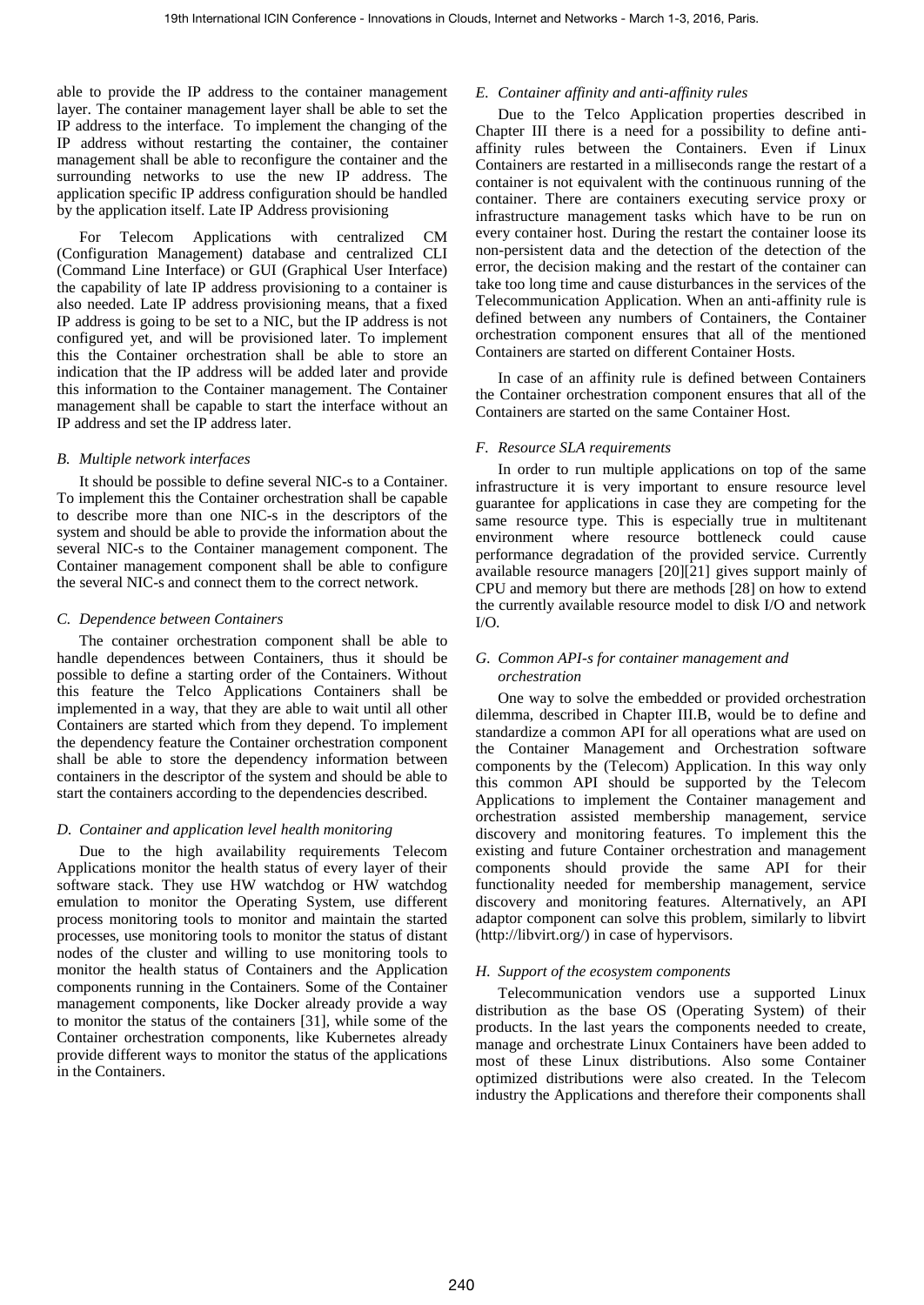able to provide the IP address to the container management layer. The container management layer shall be able to set the IP address to the interface. To implement the changing of the IP address without restarting the container, the container management shall be able to reconfigure the container and the surrounding networks to use the new IP address. The application specific IP address configuration should be handled by the application itself. Late IP Address provisioning

For Telecom Applications with centralized CM (Configuration Management) database and centralized CLI (Command Line Interface) or GUI (Graphical User Interface) the capability of late IP address provisioning to a container is also needed. Late IP address provisioning means, that a fixed IP address is going to be set to a NIC, but the IP address is not configured yet, and will be provisioned later. To implement this the Container orchestration shall be able to store an indication that the IP address will be added later and provide this information to the Container management. The Container management shall be capable to start the interface without an IP address and set the IP address later.

# *B. Multiple network interfaces*

It should be possible to define several NIC-s to a Container. To implement this the Container orchestration shall be capable to describe more than one NIC-s in the descriptors of the system and should be able to provide the information about the several NIC-s to the Container management component. The Container management component shall be able to configure the several NIC-s and connect them to the correct network.

## *C. Dependence between Containers*

The container orchestration component shall be able to handle dependences between Containers, thus it should be possible to define a starting order of the Containers. Without this feature the Telco Applications Containers shall be implemented in a way, that they are able to wait until all other Containers are started which from they depend. To implement the dependency feature the Container orchestration component shall be able to store the dependency information between containers in the descriptor of the system and should be able to start the containers according to the dependencies described.

# *D. Container and application level health monitoring*

Due to the high availability requirements Telecom Applications monitor the health status of every layer of their software stack. They use HW watchdog or HW watchdog emulation to monitor the Operating System, use different process monitoring tools to monitor and maintain the started processes, use monitoring tools to monitor the status of distant nodes of the cluster and willing to use monitoring tools to monitor the health status of Containers and the Application components running in the Containers. Some of the Container management components, like Docker already provide a way to monitor the status of the containers [\[31\],](#page-7-33) while some of the Container orchestration components, like Kubernetes already provide different ways to monitor the status of the applications in the Containers.

## *E. Container affinity and anti-affinity rules*

Due to the Telco Application properties described in Chapter [III](#page-4-1) there is a need for a possibility to define antiaffinity rules between the Containers. Even if Linux Containers are restarted in a milliseconds range the restart of a container is not equivalent with the continuous running of the container. There are containers executing service proxy or infrastructure management tasks which have to be run on every container host. During the restart the container loose its non-persistent data and the detection of the detection of the error, the decision making and the restart of the container can take too long time and cause disturbances in the services of the Telecommunication Application. When an anti-affinity rule is defined between any numbers of Containers, the Container orchestration component ensures that all of the mentioned Containers are started on different Container Hosts.

In case of an affinity rule is defined between Containers the Container orchestration component ensures that all of the Containers are started on the same Container Host.

# *F. Resource SLA requirements*

In order to run multiple applications on top of the same infrastructure it is very important to ensure resource level guarantee for applications in case they are competing for the same resource type. This is especially true in multitenant environment where resource bottleneck could cause performance degradation of the provided service. Currently available resource managers [\[20\]\[21\]](#page-7-22) gives support mainly of CPU and memory but there are methods [\[28\]](#page-7-34) on how to extend the currently available resource model to disk I/O and network I/O.

## *G. Common API-s for container management and orchestration*

One way to solve the embedded or provided orchestration dilemma, described in Chapter [III.B,](#page-4-2) would be to define and standardize a common API for all operations what are used on the Container Management and Orchestration software components by the (Telecom) Application. In this way only this common API should be supported by the Telecom Applications to implement the Container management and orchestration assisted membership management, service discovery and monitoring features. To implement this the existing and future Container orchestration and management components should provide the same API for their functionality needed for membership management, service discovery and monitoring features. Alternatively, an API adaptor component can solve this problem, similarly to libvirt (http://libvirt.org/) in case of hypervisors.

# *H. Support of the ecosystem components*

Telecommunication vendors use a supported Linux distribution as the base OS (Operating System) of their products. In the last years the components needed to create, manage and orchestrate Linux Containers have been added to most of these Linux distributions. Also some Container optimized distributions were also created. In the Telecom industry the Applications and therefore their components shall